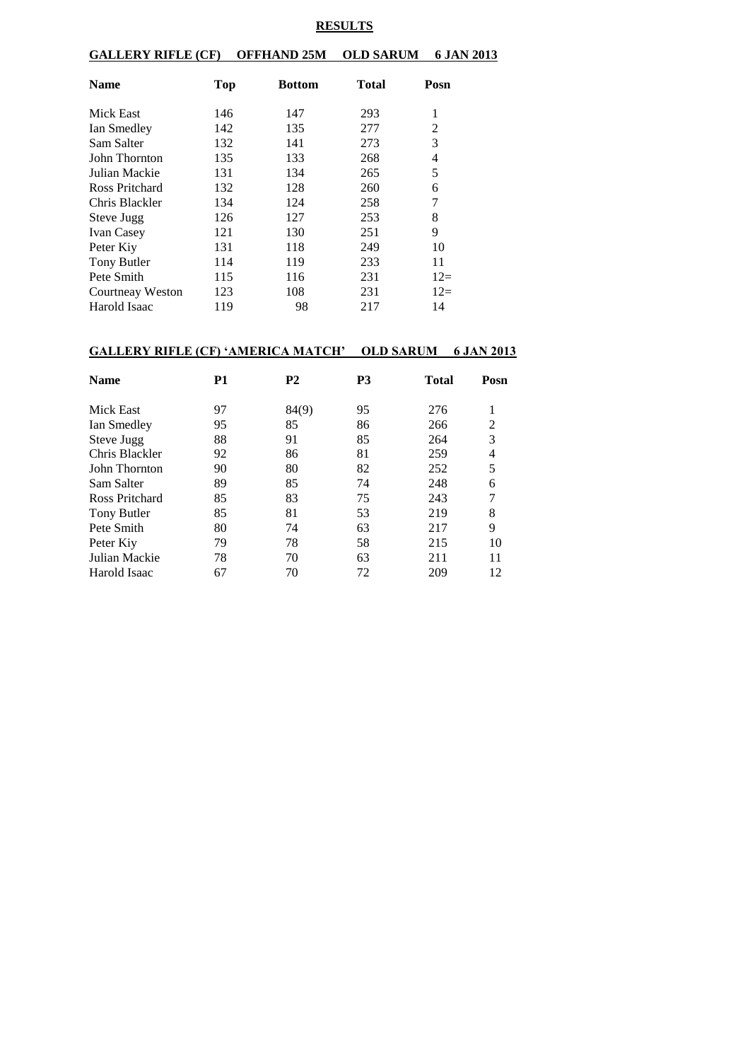#### **RESULTS**

**GALLERY RIFLE (CF) OFFHAND 25M OLD SARUM 6 JAN 2013**

| <b>Name</b>             | <b>Top</b> | <b>Bottom</b> | Total | Posn  |
|-------------------------|------------|---------------|-------|-------|
| Mick East               | 146        | 147           | 293   | 1     |
| Ian Smedley             | 142        | 135           | 277   | 2     |
| Sam Salter              | 132        | 141           | 273   | 3     |
| John Thornton           | 135        | 133           | 268   | 4     |
| Julian Mackie           | 131        | 134           | 265   | 5     |
| Ross Pritchard          | 132        | 128           | 260   | 6     |
| Chris Blackler          | 134        | 124           | 258   | 7     |
| Steve Jugg              | 126        | 127           | 253   | 8     |
| <b>Ivan Casey</b>       | 121        | 130           | 251   | 9     |
| Peter Kiy               | 131        | 118           | 249   | 10    |
| Tony Butler             | 114        | 119           | 233   | 11    |
| Pete Smith              | 115        | 116           | 231   | $12=$ |
| <b>Courtneay Weston</b> | 123        | 108           | 231   | $12=$ |
| Harold Isaac            | 119        | 98            | 217   | 14    |

#### **GALLERY RIFLE (CF) 'AMERICA MATCH' OLD SARUM 6 JAN 2013**

| <b>Name</b>    | P1 | <b>P2</b> | P3 | <b>Total</b> | Posn           |
|----------------|----|-----------|----|--------------|----------------|
| Mick East      | 97 | 84(9)     | 95 | 276          | 1              |
| Ian Smedley    | 95 | 85        | 86 | 266          | $\overline{2}$ |
| Steve Jugg     | 88 | 91        | 85 | 264          | 3              |
| Chris Blackler | 92 | 86        | 81 | 259          | 4              |
| John Thornton  | 90 | 80        | 82 | 252          | 5              |
| Sam Salter     | 89 | 85        | 74 | 248          | 6              |
| Ross Pritchard | 85 | 83        | 75 | 243          | 7              |
| Tony Butler    | 85 | 81        | 53 | 219          | 8              |
| Pete Smith     | 80 | 74        | 63 | 217          | 9              |
| Peter Kiy      | 79 | 78        | 58 | 215          | 10             |
| Julian Mackie  | 78 | 70        | 63 | 211          | 11             |
| Harold Isaac   | 67 | 70        | 72 | 209          | 12             |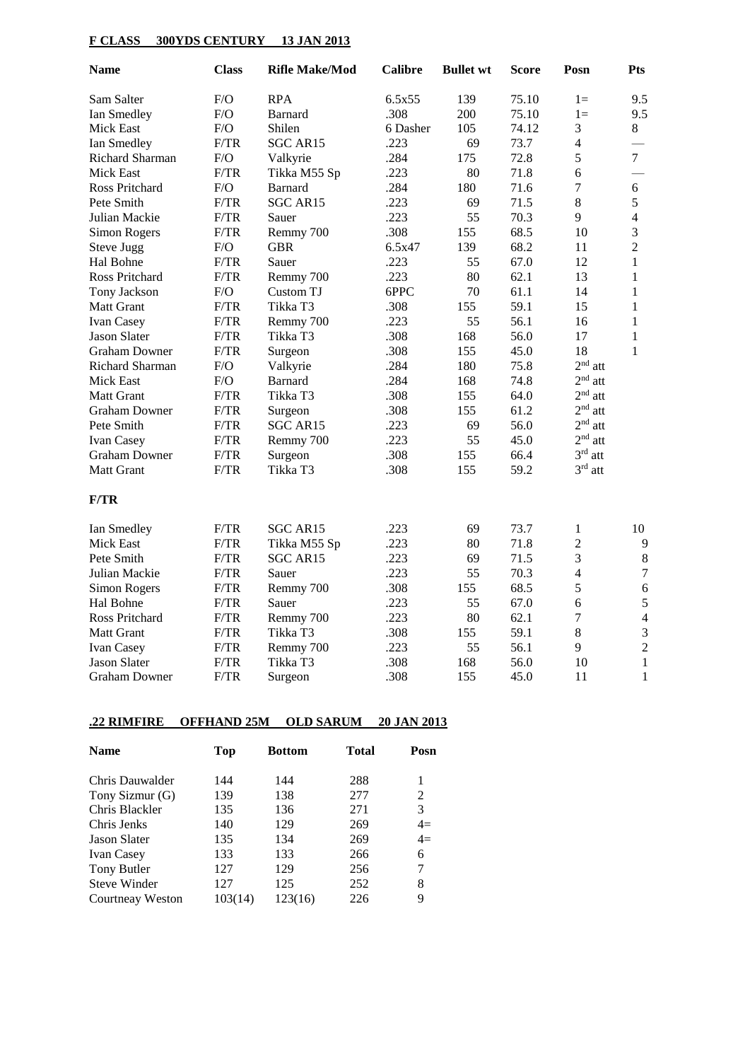## **F CLASS 300YDS CENTURY 13 JAN 2013**

| <b>Name</b>          | <b>Class</b> | <b>Rifle Make/Mod</b> | <b>Calibre</b> | <b>Bullet wt</b> | <b>Score</b> | Posn                     | <b>Pts</b>     |
|----------------------|--------------|-----------------------|----------------|------------------|--------------|--------------------------|----------------|
| Sam Salter           | F/O          | <b>RPA</b>            | 6.5x55         | 139              | 75.10        | $1 =$                    | 9.5            |
| Ian Smedley          | F/O          | <b>Barnard</b>        | .308           | 200              | 75.10        | $1 =$                    | 9.5            |
| <b>Mick East</b>     | F/O          | Shilen                | 6 Dasher       | 105              | 74.12        | 3                        | 8              |
| Ian Smedley          | F/TR         | <b>SGC AR15</b>       | .223           | 69               | 73.7         | $\overline{4}$           |                |
| Richard Sharman      | F/O          | Valkyrie              | .284           | 175              | 72.8         | 5                        | $\overline{7}$ |
| <b>Mick East</b>     | F/TR         | Tikka M55 Sp          | .223           | 80               | 71.8         | 6                        |                |
| Ross Pritchard       | F/O          | <b>Barnard</b>        | .284           | 180              | 71.6         | $\overline{7}$           | 6              |
| Pete Smith           | F/TR         | SGC AR15              | .223           | 69               | 71.5         | 8                        | 5              |
| Julian Mackie        | F/TR         | Sauer                 | .223           | 55               | 70.3         | 9                        | $\overline{4}$ |
| Simon Rogers         | F/TR         | Remmy 700             | .308           | 155              | 68.5         | 10                       | 3              |
| <b>Steve Jugg</b>    | F/O          | <b>GBR</b>            | 6.5x47         | 139              | 68.2         | 11                       | $\overline{2}$ |
| Hal Bohne            | F/TR         | Sauer                 | .223           | 55               | 67.0         | 12                       | $\mathbf{1}$   |
| Ross Pritchard       | F/TR         | Remmy 700             | .223           | 80               | 62.1         | 13                       | $\mathbf{1}$   |
| Tony Jackson         | F/O          | Custom TJ             | 6PPC           | 70               | 61.1         | 14                       | $\mathbf{1}$   |
| Matt Grant           | F/TR         | Tikka T3              | .308           | 155              | 59.1         | 15                       | $\mathbf{1}$   |
| Ivan Casey           | F/TR         | Remmy 700             | .223           | 55               | 56.1         | 16                       | $\mathbf{1}$   |
| <b>Jason Slater</b>  | F/TR         | Tikka T3              | .308           | 168              | 56.0         | 17                       | $\mathbf{1}$   |
| <b>Graham Downer</b> | F/TR         | Surgeon               | .308           | 155              | 45.0         | 18                       | 1              |
| Richard Sharman      | ${\rm F/O}$  | Valkyrie              | .284           | 180              | 75.8         | $2nd$ att                |                |
| <b>Mick East</b>     | F/O          | Barnard               | .284           | 168              | 74.8         | $2nd$ att                |                |
| Matt Grant           | F/TR         | Tikka T3              | .308           | 155              | 64.0         | $2nd$ att                |                |
| <b>Graham Downer</b> | F/TR         | Surgeon               | .308           | 155              | 61.2         | $2nd$ att                |                |
| Pete Smith           | F/TR         | SGC AR15              | .223           | 69               | 56.0         | $2nd$ att                |                |
| Ivan Casey           | F/TR         | Remmy 700             | .223           | 55               | 45.0         | $2nd$ att                |                |
| <b>Graham Downer</b> | F/TR         | Surgeon               | .308           | 155              | 66.4         | $3rd$ att                |                |
| <b>Matt Grant</b>    | F/TR         | Tikka T3              | .308           | 155              | 59.2         | $3rd$ att                |                |
| F/TR                 |              |                       |                |                  |              |                          |                |
| Ian Smedley          | F/TR         | SGC AR15              | .223           | 69               | 73.7         | 1                        | 10             |
| <b>Mick East</b>     | F/TR         | Tikka M55 Sp          | .223           | 80               | 71.8         | $\overline{2}$           | $\overline{9}$ |
| Pete Smith           | F/TR         | SGC AR15              | .223           | 69               | 71.5         | 3                        | $\,8\,$        |
| Julian Mackie        | F/TR         | Sauer                 | .223           | 55               | 70.3         | $\overline{\mathcal{L}}$ | 7              |
| Simon Rogers         | F/TR         | Remmy 700             | .308           | 155              | 68.5         | 5                        | 6              |
| Hal Bohne            | F/TR         | Sauer                 | .223           | 55               | 67.0         | 6                        | 5              |
| Ross Pritchard       | F/TR         | Remmy 700             | .223           | 80               | 62.1         | 7                        | $\overline{4}$ |
| Matt Grant           | F/TR         | Tikka T3              | .308           | 155              | 59.1         | 8                        | 3              |
| Ivan Casey           | F/TR         | Remmy 700             | .223           | 55               | 56.1         | 9                        | $\overline{c}$ |
| <b>Jason Slater</b>  | F/TR         | Tikka T3              | .308           | 168              | 56.0         | 10                       | $\mathbf{1}$   |
| <b>Graham Downer</b> | F/TR         | Surgeon               | .308           | 155              | 45.0         | 11                       | $\mathbf{1}$   |

## **.22 RIMFIRE OFFHAND 25M OLD SARUM 20 JAN 2013**

| <b>Name</b>             | Top     | <b>Bottom</b> | Total | Posn |
|-------------------------|---------|---------------|-------|------|
| Chris Dauwalder         | 144     | 144           | 288   | 1    |
| Tony Sizmur (G)         | 139     | 138           | 277   | 2    |
| Chris Blackler          | 135     | 136           | 271   | 3    |
| Chris Jenks             | 140     | 129           | 269   | $4=$ |
| <b>Jason Slater</b>     | 135     | 134           | 269   | $4=$ |
| <b>Ivan Casey</b>       | 133     | 133           | 266   | 6    |
| Tony Butler             | 127     | 129           | 256   | 7    |
| <b>Steve Winder</b>     | 127     | 125           | 252   | 8    |
| <b>Courtneay Weston</b> | 103(14) | 123(16)       | 226   | 9    |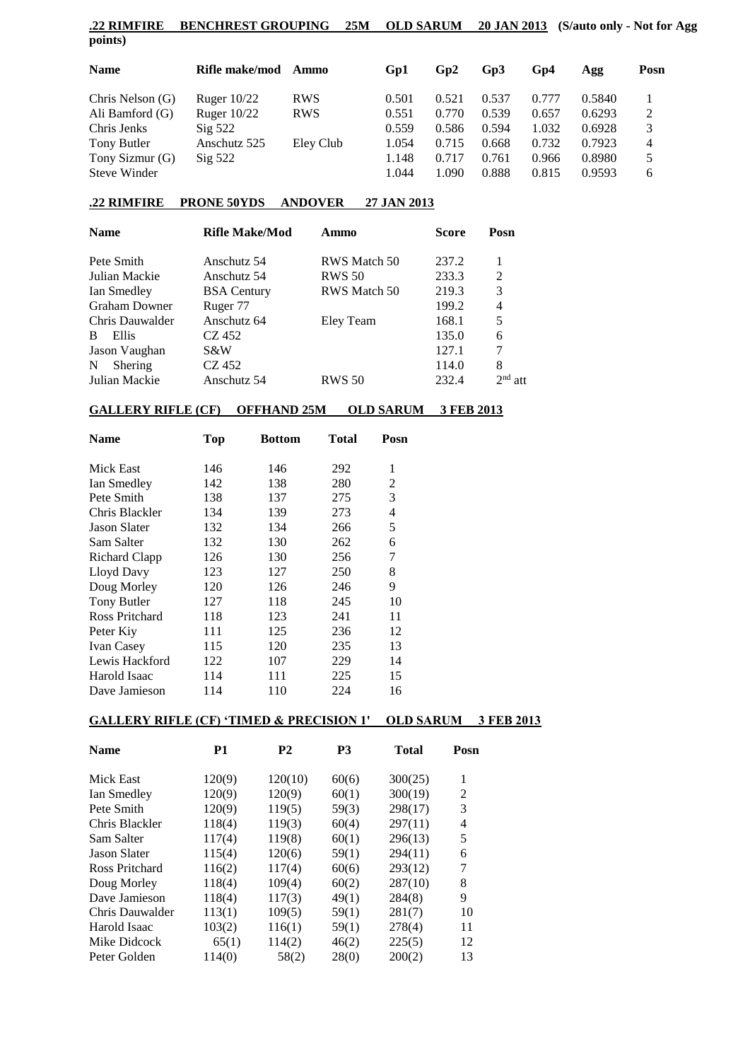|         | .22 RIMFIRE BENCHREST GROUPING 25M OLD SARUM 20 JAN 2013 (S/auto only - Not for Agg |  |  |
|---------|-------------------------------------------------------------------------------------|--|--|
| points) |                                                                                     |  |  |

| <b>Name</b>      | Rifle make/mod     | Ammo       | Gp1   | Gp2   | G <sub>p</sub> 3 | Gp4   | Agg    | Posn |
|------------------|--------------------|------------|-------|-------|------------------|-------|--------|------|
| Chris Nelson (G) | Ruger $10/22$      | <b>RWS</b> | 0.501 | 0.521 | 0.537            | 0.777 | 0.5840 |      |
| Ali Bamford (G)  | Ruger $10/22$      | <b>RWS</b> | 0.551 | 0.770 | 0.539            | 0.657 | 0.6293 | 2    |
| Chris Jenks      | $\mathrm{Sig}$ 522 |            | 0.559 | 0.586 | 0.594            | 1.032 | 0.6928 |      |
| Tony Butler      | Anschutz 525       | Eley Club  | 1.054 | 0.715 | 0.668            | 0.732 | 0.7923 | 4    |
| Tony Sizmur (G)  | $\mathrm{Sig}$ 522 |            | 1.148 | 0.717 | 0.761            | 0.966 | 0.8980 | 5    |
| Steve Winder     |                    |            | 1.044 | 1.090 | 0.888            | 0.815 | 0.9593 | 6    |
|                  |                    |            |       |       |                  |       |        |      |

### **.22 RIMFIRE PRONE 50YDS ANDOVER 27 JAN 2013**

| <b>Name</b>           | <b>Rifle Make/Mod</b> | Ammo                | Score | Posn      |
|-----------------------|-----------------------|---------------------|-------|-----------|
| Pete Smith            | Anschutz 54           | RWS Match 50        | 237.2 |           |
| Julian Mackie         | Anschutz 54           | <b>RWS 50</b>       | 233.3 | 2         |
| Ian Smedley           | <b>BSA</b> Century    | <b>RWS</b> Match 50 | 219.3 | 3         |
| <b>Graham Downer</b>  | Ruger 77              |                     | 199.2 | 4         |
| Chris Dauwalder       | Anschutz 64           | Eley Team           | 168.1 | 5         |
| <sub>B</sub><br>Ellis | CZ 452                |                     | 135.0 | 6         |
| Jason Vaughan         | S&W                   |                     | 127.1 | 7         |
| Shering<br>N          | CZ 452                |                     | 114.0 | 8         |
| Julian Mackie         | Anschutz 54           | <b>RWS 50</b>       | 232.4 | $2nd$ att |

# **GALLERY RIFLE (CF) OFFHAND 25M OLD SARUM 3 FEB 2013**

| <b>Name</b>          | Top | <b>Bottom</b> | Total | Posn |
|----------------------|-----|---------------|-------|------|
| Mick East            | 146 | 146           | 292   | 1    |
| Ian Smedley          | 142 | 138           | 280   | 2    |
| Pete Smith           | 138 | 137           | 275   | 3    |
| Chris Blackler       | 134 | 139           | 273   | 4    |
| <b>Jason Slater</b>  | 132 | 134           | 266   | 5    |
| Sam Salter           | 132 | 130           | 262   | 6    |
| <b>Richard Clapp</b> | 126 | 130           | 256   | 7    |
| Lloyd Davy           | 123 | 127           | 250   | 8    |
| Doug Morley          | 120 | 126           | 246   | 9    |
| Tony Butler          | 127 | 118           | 245   | 10   |
| Ross Pritchard       | 118 | 123           | 241   | 11   |
| Peter Kiy            | 111 | 125           | 236   | 12   |
| <b>Ivan Casey</b>    | 115 | 120           | 235   | 13   |
| Lewis Hackford       | 122 | 107           | 229   | 14   |
| Harold Isaac         | 114 | 111           | 225   | 15   |
| Dave Jamieson        | 114 | 110           | 224   | 16   |

### **GALLERY RIFLE (CF) 'TIMED & PRECISION 1' OLD SARUM 3 FEB 2013**

| <b>Name</b>         | P1     | <b>P2</b> | <b>P3</b> | <b>Total</b> | Posn |
|---------------------|--------|-----------|-----------|--------------|------|
| Mick East           | 120(9) | 120(10)   | 60(6)     | 300(25)      | 1    |
| Ian Smedley         | 120(9) | 120(9)    | 60(1)     | 300(19)      | 2    |
| Pete Smith          | 120(9) | 119(5)    | 59(3)     | 298(17)      | 3    |
| Chris Blackler      | 118(4) | 119(3)    | 60(4)     | 297(11)      | 4    |
| Sam Salter          | 117(4) | 119(8)    | 60(1)     | 296(13)      | 5    |
| <b>Jason Slater</b> | 115(4) | 120(6)    | 59(1)     | 294(11)      | 6    |
| Ross Pritchard      | 116(2) | 117(4)    | 60(6)     | 293(12)      | 7    |
| Doug Morley         | 118(4) | 109(4)    | 60(2)     | 287(10)      | 8    |
| Dave Jamieson       | 118(4) | 117(3)    | 49(1)     | 284(8)       | 9    |
| Chris Dauwalder     | 113(1) | 109(5)    | 59(1)     | 281(7)       | 10   |
| Harold Isaac        | 103(2) | 116(1)    | 59(1)     | 278(4)       | 11   |
| Mike Didcock        | 65(1)  | 114(2)    | 46(2)     | 225(5)       | 12   |
| Peter Golden        | 114(0) | 58(2)     | 28(0)     | 200(2)       | 13   |